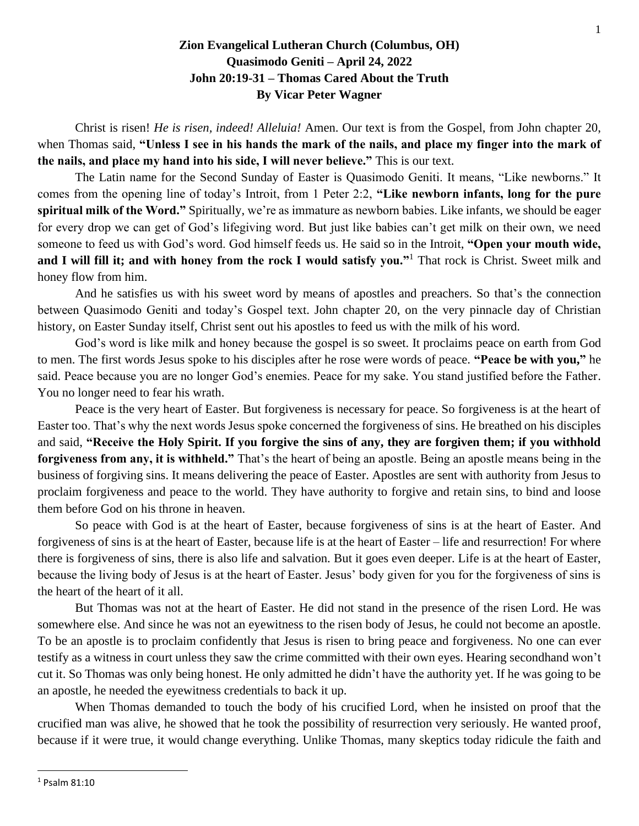## **Zion Evangelical Lutheran Church (Columbus, OH) Quasimodo Geniti – April 24, 2022 John 20:19-31 – Thomas Cared About the Truth By Vicar Peter Wagner**

Christ is risen! *He is risen, indeed! Alleluia!* Amen. Our text is from the Gospel, from John chapter 20, when Thomas said, **"Unless I see in his hands the mark of the nails, and place my finger into the mark of the nails, and place my hand into his side, I will never believe."** This is our text.

The Latin name for the Second Sunday of Easter is Quasimodo Geniti. It means, "Like newborns." It comes from the opening line of today's Introit, from 1 Peter 2:2, **"Like newborn infants, long for the pure spiritual milk of the Word."** Spiritually, we're as immature as newborn babies. Like infants, we should be eager for every drop we can get of God's lifegiving word. But just like babies can't get milk on their own, we need someone to feed us with God's word. God himself feeds us. He said so in the Introit, **"Open your mouth wide, and I will fill it; and with honey from the rock I would satisfy you."**<sup>1</sup> That rock is Christ. Sweet milk and honey flow from him.

And he satisfies us with his sweet word by means of apostles and preachers. So that's the connection between Quasimodo Geniti and today's Gospel text. John chapter 20, on the very pinnacle day of Christian history, on Easter Sunday itself, Christ sent out his apostles to feed us with the milk of his word.

God's word is like milk and honey because the gospel is so sweet. It proclaims peace on earth from God to men. The first words Jesus spoke to his disciples after he rose were words of peace. **"Peace be with you,"** he said. Peace because you are no longer God's enemies. Peace for my sake. You stand justified before the Father. You no longer need to fear his wrath.

Peace is the very heart of Easter. But forgiveness is necessary for peace. So forgiveness is at the heart of Easter too. That's why the next words Jesus spoke concerned the forgiveness of sins. He breathed on his disciples and said, **"Receive the Holy Spirit. If you forgive the sins of any, they are forgiven them; if you withhold forgiveness from any, it is withheld."** That's the heart of being an apostle. Being an apostle means being in the business of forgiving sins. It means delivering the peace of Easter. Apostles are sent with authority from Jesus to proclaim forgiveness and peace to the world. They have authority to forgive and retain sins, to bind and loose them before God on his throne in heaven.

So peace with God is at the heart of Easter, because forgiveness of sins is at the heart of Easter. And forgiveness of sins is at the heart of Easter, because life is at the heart of Easter – life and resurrection! For where there is forgiveness of sins, there is also life and salvation. But it goes even deeper. Life is at the heart of Easter, because the living body of Jesus is at the heart of Easter. Jesus' body given for you for the forgiveness of sins is the heart of the heart of it all.

But Thomas was not at the heart of Easter. He did not stand in the presence of the risen Lord. He was somewhere else. And since he was not an eyewitness to the risen body of Jesus, he could not become an apostle. To be an apostle is to proclaim confidently that Jesus is risen to bring peace and forgiveness. No one can ever testify as a witness in court unless they saw the crime committed with their own eyes. Hearing secondhand won't cut it. So Thomas was only being honest. He only admitted he didn't have the authority yet. If he was going to be an apostle, he needed the eyewitness credentials to back it up.

When Thomas demanded to touch the body of his crucified Lord, when he insisted on proof that the crucified man was alive, he showed that he took the possibility of resurrection very seriously. He wanted proof, because if it were true, it would change everything. Unlike Thomas, many skeptics today ridicule the faith and

<sup>1</sup> Psalm 81:10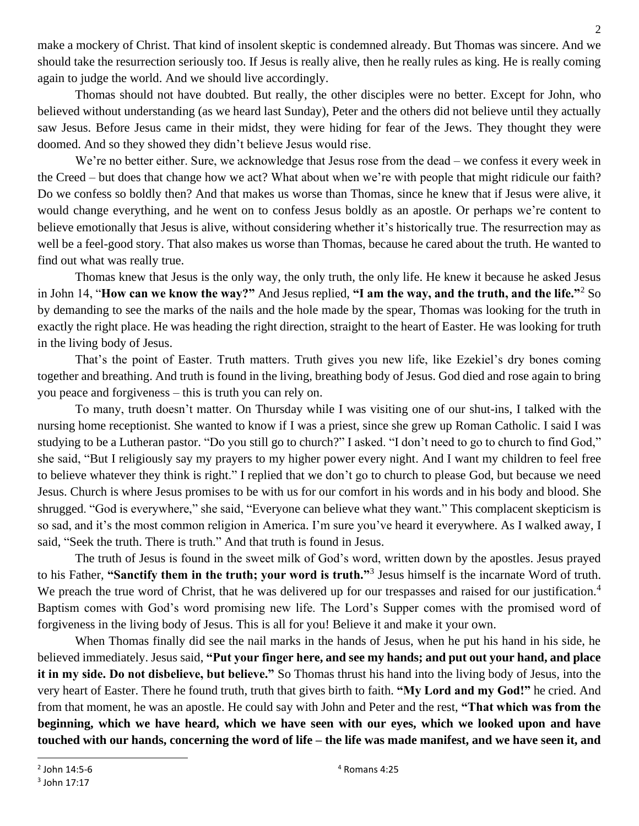make a mockery of Christ. That kind of insolent skeptic is condemned already. But Thomas was sincere. And we should take the resurrection seriously too. If Jesus is really alive, then he really rules as king. He is really coming again to judge the world. And we should live accordingly.

Thomas should not have doubted. But really, the other disciples were no better. Except for John, who believed without understanding (as we heard last Sunday), Peter and the others did not believe until they actually saw Jesus. Before Jesus came in their midst, they were hiding for fear of the Jews. They thought they were doomed. And so they showed they didn't believe Jesus would rise.

We're no better either. Sure, we acknowledge that Jesus rose from the dead – we confess it every week in the Creed – but does that change how we act? What about when we're with people that might ridicule our faith? Do we confess so boldly then? And that makes us worse than Thomas, since he knew that if Jesus were alive, it would change everything, and he went on to confess Jesus boldly as an apostle. Or perhaps we're content to believe emotionally that Jesus is alive, without considering whether it's historically true. The resurrection may as well be a feel-good story. That also makes us worse than Thomas, because he cared about the truth. He wanted to find out what was really true.

Thomas knew that Jesus is the only way, the only truth, the only life. He knew it because he asked Jesus in John 14, "**How can we know the way?"** And Jesus replied, **"I am the way, and the truth, and the life."**<sup>2</sup> So by demanding to see the marks of the nails and the hole made by the spear, Thomas was looking for the truth in exactly the right place. He was heading the right direction, straight to the heart of Easter. He was looking for truth in the living body of Jesus.

That's the point of Easter. Truth matters. Truth gives you new life, like Ezekiel's dry bones coming together and breathing. And truth is found in the living, breathing body of Jesus. God died and rose again to bring you peace and forgiveness – this is truth you can rely on.

To many, truth doesn't matter. On Thursday while I was visiting one of our shut-ins, I talked with the nursing home receptionist. She wanted to know if I was a priest, since she grew up Roman Catholic. I said I was studying to be a Lutheran pastor. "Do you still go to church?" I asked. "I don't need to go to church to find God," she said, "But I religiously say my prayers to my higher power every night. And I want my children to feel free to believe whatever they think is right." I replied that we don't go to church to please God, but because we need Jesus. Church is where Jesus promises to be with us for our comfort in his words and in his body and blood. She shrugged. "God is everywhere," she said, "Everyone can believe what they want." This complacent skepticism is so sad, and it's the most common religion in America. I'm sure you've heard it everywhere. As I walked away, I said, "Seek the truth. There is truth." And that truth is found in Jesus.

The truth of Jesus is found in the sweet milk of God's word, written down by the apostles. Jesus prayed to his Father, **"Sanctify them in the truth; your word is truth."**<sup>3</sup> Jesus himself is the incarnate Word of truth. We preach the true word of Christ, that he was delivered up for our trespasses and raised for our justification.<sup>4</sup> Baptism comes with God's word promising new life. The Lord's Supper comes with the promised word of forgiveness in the living body of Jesus. This is all for you! Believe it and make it your own.

When Thomas finally did see the nail marks in the hands of Jesus, when he put his hand in his side, he believed immediately. Jesus said, **"Put your finger here, and see my hands; and put out your hand, and place it in my side. Do not disbelieve, but believe."** So Thomas thrust his hand into the living body of Jesus, into the very heart of Easter. There he found truth, truth that gives birth to faith. **"My Lord and my God!"** he cried. And from that moment, he was an apostle. He could say with John and Peter and the rest, **"That which was from the beginning, which we have heard, which we have seen with our eyes, which we looked upon and have touched with our hands, concerning the word of life – the life was made manifest, and we have seen it, and** 

 $<sup>2</sup>$  John 14:5-6</sup>

 $3$  John 17:17